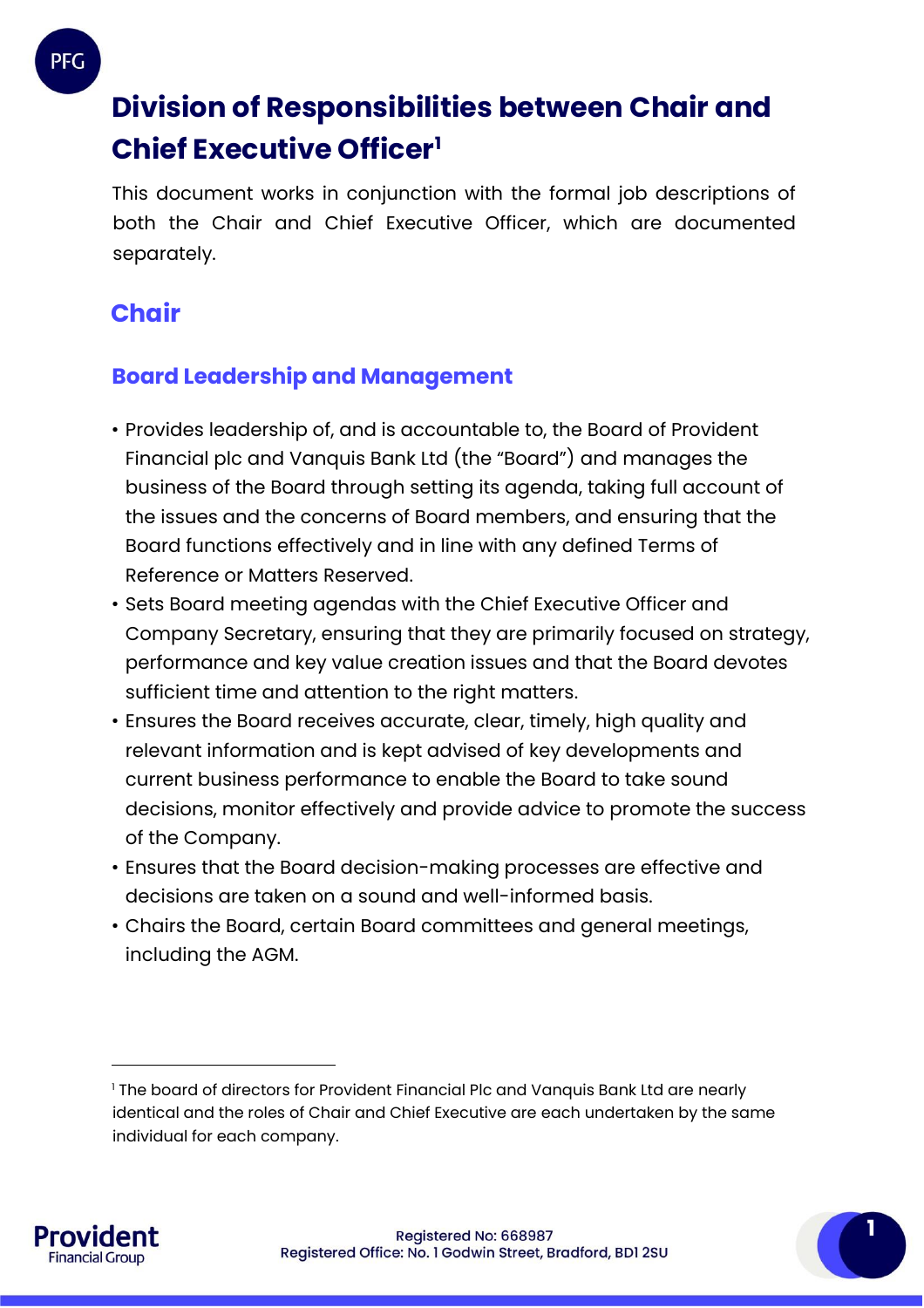## **Division of Responsibilities between Chair and Chief Executive Officer<sup>1</sup>**

This document works in conjunction with the formal job descriptions of both the Chair and Chief Executive Officer, which are documented separately.

## **Chair**

## **Board Leadership and Management**

- Provides leadership of, and is accountable to, the Board of Provident Financial plc and Vanquis Bank Ltd (the "Board") and manages the business of the Board through setting its agenda, taking full account of the issues and the concerns of Board members, and ensuring that the Board functions effectively and in line with any defined Terms of Reference or Matters Reserved.
- Sets Board meeting agendas with the Chief Executive Officer and Company Secretary, ensuring that they are primarily focused on strategy, performance and key value creation issues and that the Board devotes sufficient time and attention to the right matters.
- Ensures the Board receives accurate, clear, timely, high quality and relevant information and is kept advised of key developments and current business performance to enable the Board to take sound decisions, monitor effectively and provide advice to promote the success of the Company.
- Ensures that the Board decision-making processes are effective and decisions are taken on a sound and well-informed basis.
- Chairs the Board, certain Board committees and general meetings, including the AGM.



 $\overline{a}$ 

<sup>1</sup> The board of directors for Provident Financial Plc and Vanquis Bank Ltd are nearly identical and the roles of Chair and Chief Executive are each undertaken by the same individual for each company.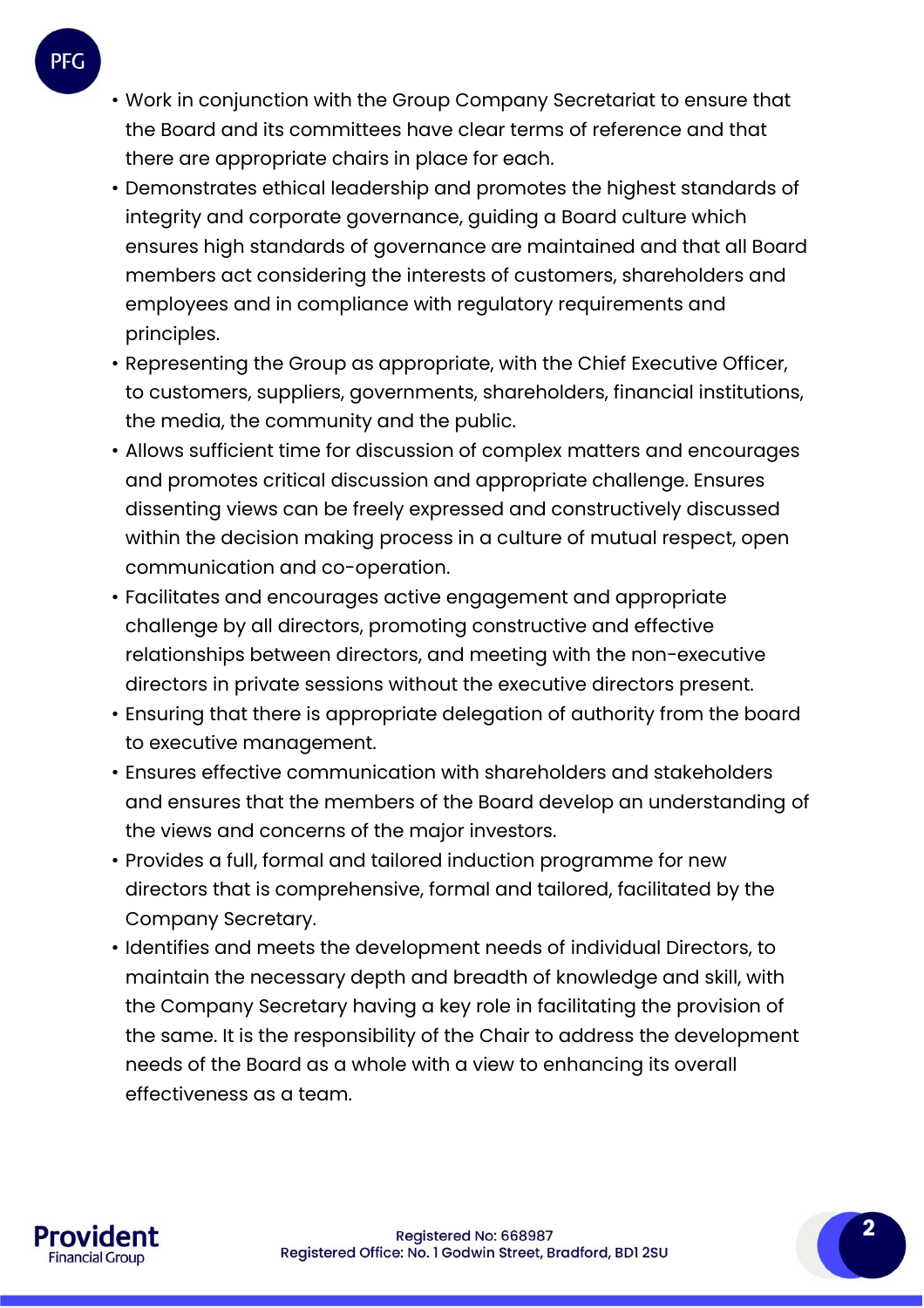- Work in conjunction with the Group Company Secretariat to ensure that the Board and its committees have clear terms of reference and that there are appropriate chairs in place for each.
- Demonstrates ethical leadership and promotes the highest standards of integrity and corporate governance, guiding a Board culture which ensures high standards of governance are maintained and that all Board members act considering the interests of customers, shareholders and employees and in compliance with regulatory requirements and principles.
- Representing the Group as appropriate, with the Chief Executive Officer, to customers, suppliers, governments, shareholders, financial institutions, the media, the community and the public.
- Allows sufficient time for discussion of complex matters and encourages and promotes critical discussion and appropriate challenge. Ensures dissenting views can be freely expressed and constructively discussed within the decision making process in a culture of mutual respect, open communication and co-operation.
- Facilitates and encourages active engagement and appropriate challenge by all directors, promoting constructive and effective relationships between directors, and meeting with the non-executive directors in private sessions without the executive directors present.
- Ensuring that there is appropriate delegation of authority from the board to executive management.
- Ensures effective communication with shareholders and stakeholders and ensures that the members of the Board develop an understanding of the views and concerns of the major investors.
- Provides a full, formal and tailored induction programme for new directors that is comprehensive, formal and tailored, facilitated by the Company Secretary.
- Identifies and meets the development needs of individual Directors, to maintain the necessary depth and breadth of knowledge and skill, with the Company Secretary having a key role in facilitating the provision of the same. It is the responsibility of the Chair to address the development needs of the Board as a whole with a view to enhancing its overall effectiveness as a team.



**2**

**PFG**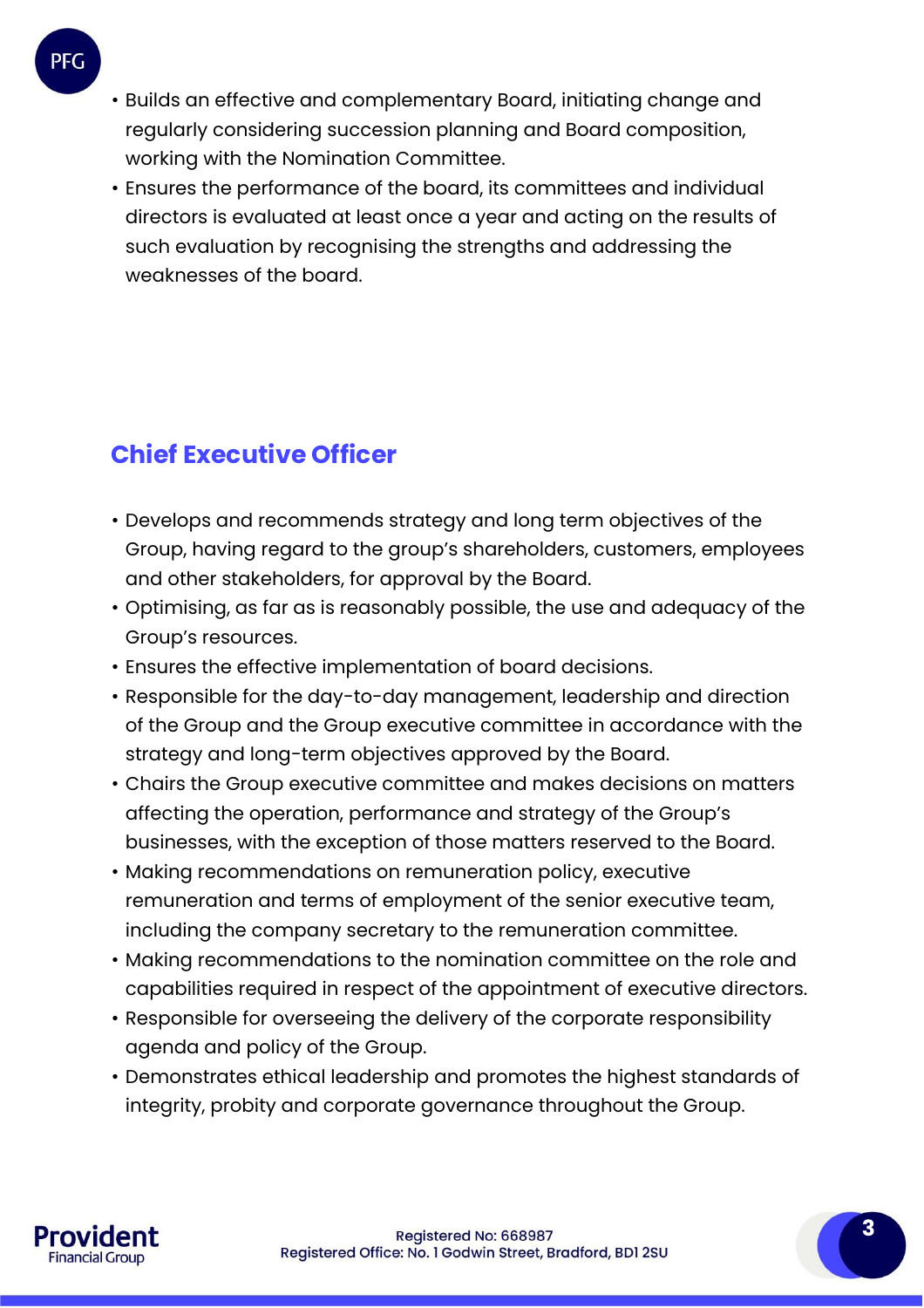- Builds an effective and complementary Board, initiating change and regularly considering succession planning and Board composition, working with the Nomination Committee.
- Ensures the performance of the board, its committees and individual directors is evaluated at least once a year and acting on the results of such evaluation by recognising the strengths and addressing the weaknesses of the board.

## **Chief Executive Officer**

- Develops and recommends strategy and long term objectives of the Group, having regard to the group's shareholders, customers, employees and other stakeholders, for approval by the Board.
- Optimising, as far as is reasonably possible, the use and adequacy of the Group's resources.
- Ensures the effective implementation of board decisions.
- Responsible for the day-to-day management, leadership and direction of the Group and the Group executive committee in accordance with the strategy and long-term objectives approved by the Board.
- Chairs the Group executive committee and makes decisions on matters affecting the operation, performance and strategy of the Group's businesses, with the exception of those matters reserved to the Board.
- Making recommendations on remuneration policy, executive remuneration and terms of employment of the senior executive team, including the company secretary to the remuneration committee.
- Making recommendations to the nomination committee on the role and capabilities required in respect of the appointment of executive directors.
- Responsible for overseeing the delivery of the corporate responsibility agenda and policy of the Group.
- Demonstrates ethical leadership and promotes the highest standards of integrity, probity and corporate governance throughout the Group.